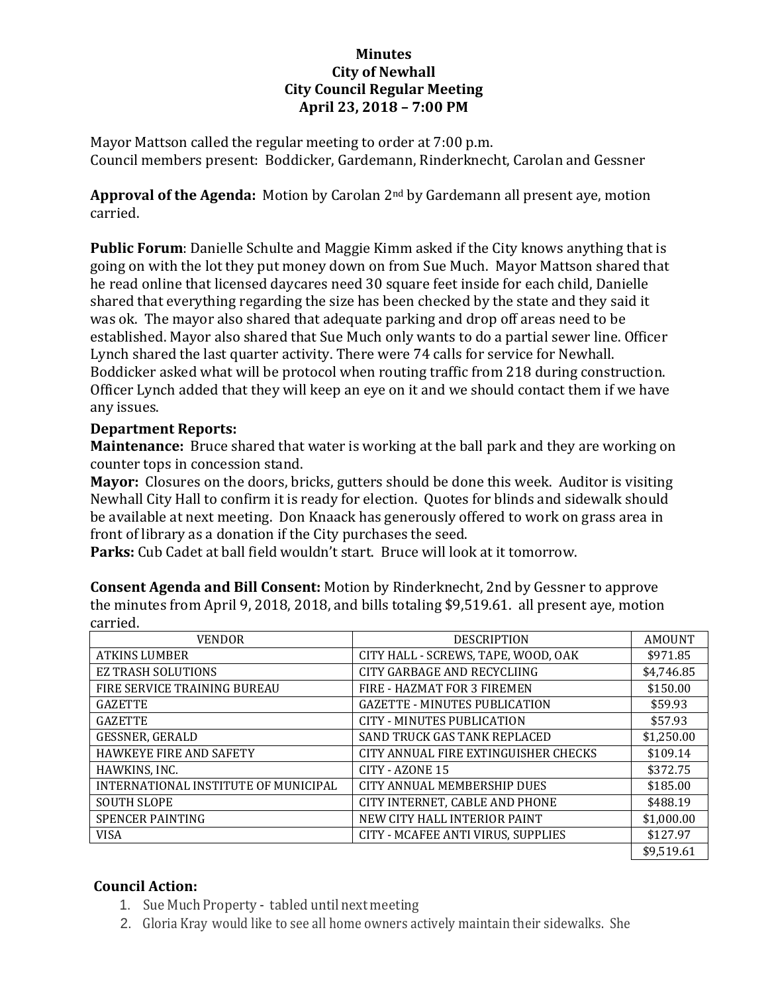## **Minutes City of Newhall City Council Regular Meeting April 23, 2018 – 7:00 PM**

Mayor Mattson called the regular meeting to order at 7:00 p.m. Council members present: Boddicker, Gardemann, Rinderknecht, Carolan and Gessner

**Approval of the Agenda:** Motion by Carolan 2nd by Gardemann all present aye, motion carried.

**Public Forum**: Danielle Schulte and Maggie Kimm asked if the City knows anything that is going on with the lot they put money down on from Sue Much. Mayor Mattson shared that he read online that licensed daycares need 30 square feet inside for each child, Danielle shared that everything regarding the size has been checked by the state and they said it was ok. The mayor also shared that adequate parking and drop off areas need to be established. Mayor also shared that Sue Much only wants to do a partial sewer line. Officer Lynch shared the last quarter activity. There were 74 calls for service for Newhall. Boddicker asked what will be protocol when routing traffic from 218 during construction. Officer Lynch added that they will keep an eye on it and we should contact them if we have any issues.

## **Department Reports:**

**Maintenance:** Bruce shared that water is working at the ball park and they are working on counter tops in concession stand.

**Mayor:** Closures on the doors, bricks, gutters should be done this week. Auditor is visiting Newhall City Hall to confirm it is ready for election. Quotes for blinds and sidewalk should be available at next meeting. Don Knaack has generously offered to work on grass area in front of library as a donation if the City purchases the seed.

**Parks:** Cub Cadet at ball field wouldn't start. Bruce will look at it tomorrow.

| carricu.                             |                                      |               |
|--------------------------------------|--------------------------------------|---------------|
| <b>VENDOR</b>                        | <b>DESCRIPTION</b>                   | <b>AMOUNT</b> |
| <b>ATKINS LUMBER</b>                 | CITY HALL - SCREWS, TAPE, WOOD, OAK  | \$971.85      |
| <b>EZ TRASH SOLUTIONS</b>            | CITY GARBAGE AND RECYCLIING          | \$4,746.85    |
| FIRE SERVICE TRAINING BUREAU         | FIRE - HAZMAT FOR 3 FIREMEN          | \$150.00      |
| <b>GAZETTE</b>                       | <b>GAZETTE - MINUTES PUBLICATION</b> | \$59.93       |
| <b>GAZETTE</b>                       | CITY - MINUTES PUBLICATION           | \$57.93       |
| <b>GESSNER, GERALD</b>               | <b>SAND TRUCK GAS TANK REPLACED</b>  | \$1,250.00    |
| <b>HAWKEYE FIRE AND SAFETY</b>       | CITY ANNUAL FIRE EXTINGUISHER CHECKS | \$109.14      |
| HAWKINS, INC.                        | CITY - AZONE 15                      | \$372.75      |
| INTERNATIONAL INSTITUTE OF MUNICIPAL | CITY ANNUAL MEMBERSHIP DUES          | \$185.00      |
| <b>SOUTH SLOPE</b>                   | CITY INTERNET. CABLE AND PHONE       | \$488.19      |
| <b>SPENCER PAINTING</b>              | NEW CITY HALL INTERIOR PAINT         | \$1,000.00    |
| <b>VISA</b>                          | CITY - MCAFEE ANTI VIRUS, SUPPLIES   | \$127.97      |
|                                      |                                      | \$9,519.61    |

**Consent Agenda and Bill Consent:** Motion by Rinderknecht, 2nd by Gessner to approve the minutes from April 9, 2018, 2018, and bills totaling \$9,519.61. all present aye, motion carried.

## **Council Action:**

- 1. Sue Much Property tabled untilnext meeting
- 2. Gloria Kray would like to see all home owners actively maintain their sidewalks. She